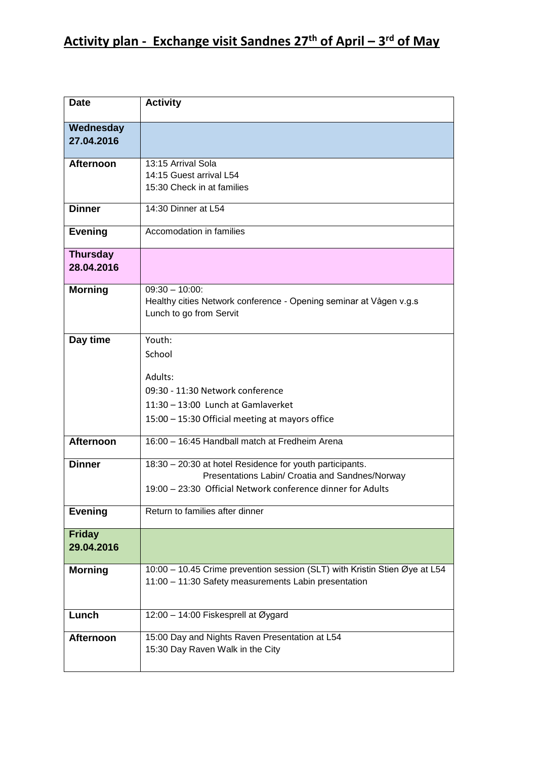| <b>Date</b>                   | <b>Activity</b>                                                                                                                                                            |
|-------------------------------|----------------------------------------------------------------------------------------------------------------------------------------------------------------------------|
| Wednesday<br>27.04.2016       |                                                                                                                                                                            |
| <b>Afternoon</b>              | 13:15 Arrival Sola                                                                                                                                                         |
|                               | 14:15 Guest arrival L54<br>15:30 Check in at families                                                                                                                      |
| <b>Dinner</b>                 | 14:30 Dinner at L54                                                                                                                                                        |
| <b>Evening</b>                | Accomodation in families                                                                                                                                                   |
| <b>Thursday</b><br>28.04.2016 |                                                                                                                                                                            |
| <b>Morning</b>                | $09:30 - 10:00$<br>Healthy cities Network conference - Opening seminar at Vågen v.g.s<br>Lunch to go from Servit                                                           |
| Day time                      | Youth:<br>School<br>Adults:<br>09:30 - 11:30 Network conference<br>11:30 - 13:00 Lunch at Gamlaverket<br>15:00 - 15:30 Official meeting at mayors office                   |
|                               | 16:00 - 16:45 Handball match at Fredheim Arena                                                                                                                             |
| <b>Afternoon</b>              |                                                                                                                                                                            |
| <b>Dinner</b>                 | 18:30 - 20:30 at hotel Residence for youth participants.<br>Presentations Labin/ Croatia and Sandnes/Norway<br>19:00 - 23:30 Official Network conference dinner for Adults |
| <b>Evening</b>                | Return to families after dinner                                                                                                                                            |
| <b>Friday</b><br>29.04.2016   |                                                                                                                                                                            |
| <b>Morning</b>                | 10:00 - 10.45 Crime prevention session (SLT) with Kristin Stien Øye at L54<br>11:00 - 11:30 Safety measurements Labin presentation                                         |
| Lunch                         | 12:00 - 14:00 Fiskesprell at Øygard                                                                                                                                        |
| <b>Afternoon</b>              | 15:00 Day and Nights Raven Presentation at L54<br>15:30 Day Raven Walk in the City                                                                                         |